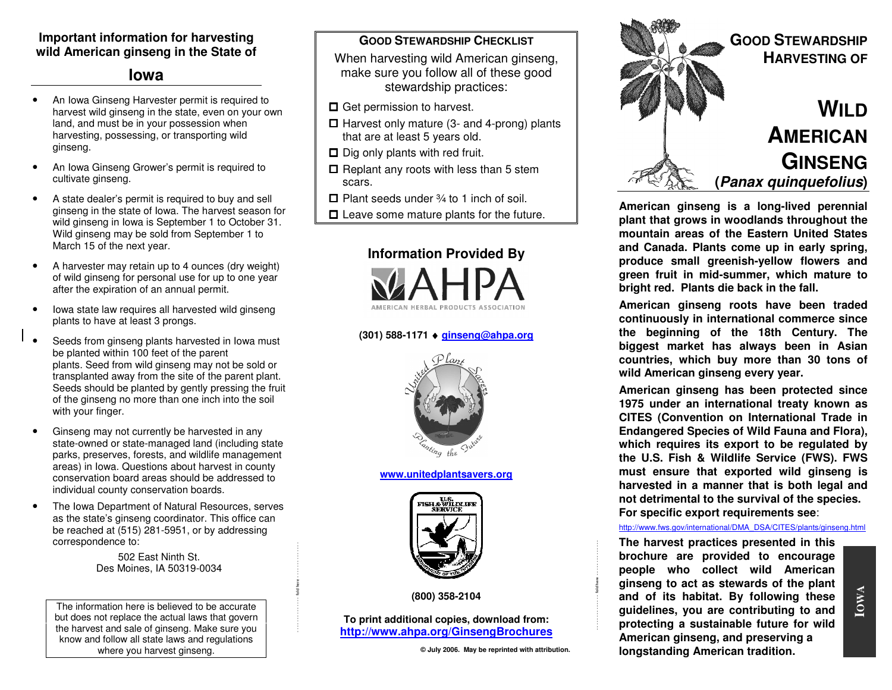### **Important information for harvesting wild American ginseng in the State of**

# **Iowa**

- • An Iowa Ginseng Harvester permit is required to harvest wild ginseng in the state, even on your ownland, and must be in your possession when harvesting, possessing, or transporting wild ginseng.
- • An Iowa Ginseng Grower's permit is required to cultivate ginseng.
- • A state dealer's permit is required to buy and sell ginseng in the state of Iowa. The harvest season for wild ginseng in Iowa is September 1 to October 31. Wild ginseng may be sold from September 1 to March 15 of the next year.
- • A harvester may retain up to 4 ounces (dry weight) of wild ginseng for personal use for up to one yearafter the expiration of an annual permit.
- • Iowa state law requires all harvested wild ginseng plants to have at least 3 prongs.
- • Seeds from ginseng plants harvested in Iowa must be planted within 100 feet of the parent plants. Seed from wild ginseng may not be sold or transplanted away from the site of the parent plant. Seeds should be planted by gently pressing the fruit of the ginseng no more than one inch into the soil with your finger.
- • Ginseng may not currently be harvested in any state-owned or state-managed land (including state parks, preserves, forests, and wildlife management areas) in Iowa. Questions about harvest in county conservation board areas should be addressed to individual county conservation boards.
- • The Iowa Department of Natural Resources, serves as the state's ginseng coordinator. This office can be reached at (515) 281-5951, or by addressing correspondence to:

502 East Ninth St. Des Moines, IA 50319-0034 - - - - - - - - - - - - - fold here - - - - - - - - - - - - - -

The information here is believed to be accurate but does not replace the actual laws that govern the harvest and sale of ginseng. Make sure you know and follow all state laws and regulations where you harvest ginseng.

#### **GOOD STEWARDSHIP CHECKLIST**

 When harvesting wild American ginseng, make sure you follow all of these good stewardship practices:

- **□** Get permission to harvest.
- $\Box$  Harvest only mature (3- and 4-prong) plants that are at least 5 years old.
- $\Box$  Dig only plants with red fruit.
- $\square$  Replant any roots with less than 5 stem scars.
- $\Box$  Plant seeds under  $\frac{3}{4}$  to 1 inch of soil.
- $\Box$  Leave some mature plants for the future.



# **(301) 588-1171** ♦ **ginseng@ahpa.org**



#### **www.unitedplantsavers.org**



**(800) 358-2104** 

**To print additional copies, download from: http://www.ahpa.org/GinsengBrochures**

**© July 2006. May be reprinted with attribution.** 

- - - - - - - - - - - - - fold here - - - - - - - - - - - - - -



**American ginseng is a long-lived perennial plant that grows in woodlands throughout the mountain areas of the Eastern United States and Canada. Plants come up in early spring, produce small greenish-yellow flowers and green fruit in mid-summer, which mature to bright red. Plants die back in the fall.** 

**American ginseng roots have been traded continuously in international commerce since the beginning of the 18th Century. The biggest market has always been in Asian countries, which buy more than 30 tons of wild American ginseng every year.** 

**American ginseng has been protected since 1975 under an international treaty known as CITES (Convention on International Trade in Endangered Species of Wild Fauna and Flora), which requires its export to be regulated by the U.S. Fish & Wildlife Service (FWS). FWS must ensure that exported wild ginseng is harvested in a manner that is both legal and not detrimental to the survival of the species. For specific export requirements see**:

#### http://www.fws.gov/international/DMA\_DSA/CITES/plants/ginseng.html

**The harvest practices presented in this brochure are provided to encourage people who collect wild American ginseng to act as stewards of the plant and of its habitat. By following these guidelines, you are contributing to and protecting a sustainable future for wild American ginseng, and preserving a longstanding American tradition.**